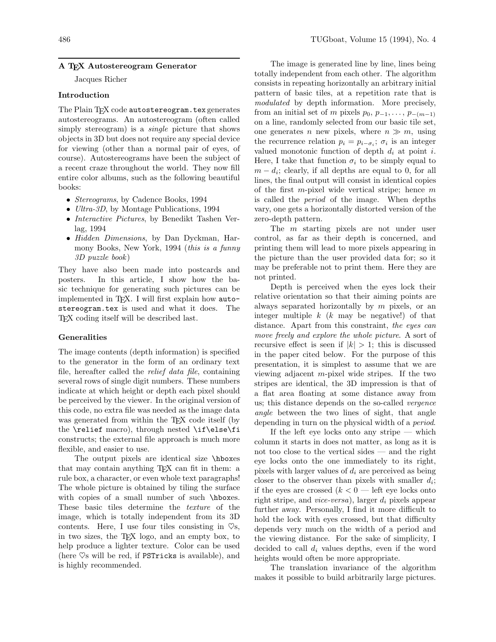### **A TEX Autostereogram Generator**

Jacques Richer

#### **Introduction**

The Plain TFX code autostereogram.tex generates autostereograms. An autostereogram (often called simply stereogram) is a *single* picture that shows objects in 3D but does not require any special device for viewing (other than a normal pair of eyes, of course). Autostereograms have been the subject of a recent craze throughout the world. They now fill entire color albums, such as the following beautiful books:

- Stereograms, by Cadence Books, 1994
- *Ultra-3D*, by Montage Publications, 1994
- Interactive Pictures, by Benedikt Tashen Verlag, 1994
- Hidden Dimensions, by Dan Dyckman, Harmony Books, New York, 1994 (this is a funny 3D puzzle book )

They have also been made into postcards and posters. In this article, I show how the basic technique for generating such pictures can be implemented in TEX. I will first explain how autostereogram.tex is used and what it does. The TEX coding itself will be described last.

#### **Generalities**

The image contents (depth information) is specified to the generator in the form of an ordinary text file, hereafter called the relief data file, containing several rows of single digit numbers. These numbers indicate at which height or depth each pixel should be perceived by the viewer. In the original version of this code, no extra file was needed as the image data was generated from within the T<sub>EX</sub> code itself (by the \relief macro), through nested \if\else\fi constructs; the external file approach is much more flexible, and easier to use.

The output pixels are identical size \hboxes that may contain anything TEX can fit in them: a rule box, a character, or even whole text paragraphs! The whole picture is obtained by tiling the surface with copies of a small number of such \hboxes. These basic tiles determine the texture of the image, which is totally independent from its 3D contents. Here, I use four tiles consisting in  $\heartsuit$ s, in two sizes, the TEX logo, and an empty box, to help produce a lighter texture. Color can be used (here  $\heartsuit$ s will be red, if PSTricks is available), and is highly recommended.

The image is generated line by line, lines being totally independent from each other. The algorithm consists in repeating horizontally an arbitrary initial pattern of basic tiles, at a repetition rate that is modulated by depth information. More precisely, from an initial set of m pixels  $p_0, p_{-1}, \ldots, p_{-(m-1)}$ on a line, randomly selected from our basic tile set, one generates n new pixels, where  $n \gg m$ , using the recurrence relation  $p_i = p_{i-\sigma_i}; \sigma_i$  is an integer valued monotonic function of depth  $d_i$  at point i. Here, I take that function  $\sigma_i$  to be simply equal to  $m - d_i$ ; clearly, if all depths are equal to 0, for all lines, the final output will consist in identical copies of the first m-pixel wide vertical stripe; hence  $m$ is called the period of the image. When depths vary, one gets a horizontally distorted version of the zero-depth pattern.

The *m* starting pixels are not under user control, as far as their depth is concerned, and printing them will lead to more pixels appearing in the picture than the user provided data for; so it may be preferable not to print them. Here they are not printed.

Depth is perceived when the eyes lock their relative orientation so that their aiming points are always separated horizontally by  $m$  pixels, or an integer multiple  $k$  ( $k$  may be negative!) of that distance. Apart from this constraint, the eyes can move freely and explore the whole picture. A sort of recursive effect is seen if  $|k| > 1$ ; this is discussed in the paper cited below. For the purpose of this presentation, it is simplest to assume that we are viewing adjacent m-pixel wide stripes. If the two stripes are identical, the 3D impression is that of a flat area floating at some distance away from us; this distance depends on the so-called vergence angle between the two lines of sight, that angle depending in turn on the physical width of a period.

If the left eye locks onto any stripe  $-$  which column it starts in does not matter, as long as it is not too close to the vertical sides — and the right eye locks onto the one immediately to its right, pixels with larger values of  $d_i$  are perceived as being closer to the observer than pixels with smaller  $d_i$ ; if the eyes are crossed  $(k < 0$  — left eye locks onto right stripe, and *vice-versa*), larger  $d_i$  pixels appear further away. Personally, I find it more difficult to hold the lock with eyes crossed, but that difficulty depends very much on the width of a period and the viewing distance. For the sake of simplicity, I decided to call  $d_i$  values depths, even if the word heights would often be more appropriate.

The translation invariance of the algorithm makes it possible to build arbitrarily large pictures.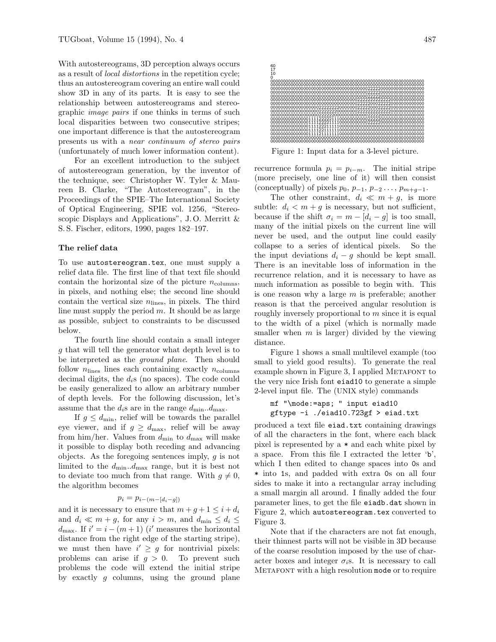With autostereograms, 3D perception always occurs as a result of local distortions in the repetition cycle; thus an autostereogram covering an entire wall could show 3D in any of its parts. It is easy to see the relationship between autostereograms and stereographic image pairs if one thinks in terms of such local disparities between two consecutive stripes; one important difference is that the autostereogram presents us with a near continuum of stereo pairs (unfortunately of much lower information content).

For an excellent introduction to the subject of autostereogram generation, by the inventor of the technique, see: Christopher W. Tyler & Maureen B. Clarke, "The Autostereogram", in the Proceedings of the SPIE–The International Society of Optical Engineering, SPIE vol. 1256, "Stereoscopic Displays and Applications", J.O. Merritt & S. S. Fischer, editors, 1990, pages 182–197.

#### **The relief data**

To use autostereogram.tex, one must supply a relief data file. The first line of that text file should contain the horizontal size of the picture  $n_{\text{columns}}$ , in pixels, and nothing else; the second line should contain the vertical size  $n_{\text{lines}}$ , in pixels. The third line must supply the period  $m$ . It should be as large as possible, subject to constraints to be discussed below.

The fourth line should contain a small integer g that will tell the generator what depth level is to be interpreted as the ground plane. Then should follow  $n_{\text{lines}}$  lines each containing exactly  $n_{\text{columns}}$ decimal digits, the  $d_i$ s (no spaces). The code could be easily generalized to allow an arbitrary number of depth levels. For the following discussion, let's assume that the  $d_i$ s are in the range  $d_{\min}$ ... $d_{\max}$ .

If  $g \leq d_{\text{min}}$ , relief will be towards the parallel eye viewer, and if  $g \geq d_{\text{max}}$ , relief will be away from him/her. Values from  $d_{\min}$  to  $d_{\max}$  will make it possible to display both receding and advancing objects. As the foregoing sentences imply,  $g$  is not limited to the  $d_{\min}$ ... $d_{\max}$  range, but it is best not to deviate too much from that range. With  $g \neq 0$ , the algorithm becomes

## $p_i = p_{i-(m-[d_i-g])}$

and it is necessary to ensure that  $m + g + 1 \leq i + d_i$ and  $d_i \ll m + g$ , for any  $i > m$ , and  $d_{\min} \leq d_i \leq$  $d_{\text{max}}$ . If  $i' = i - (m + 1)$  (i' measures the horizontal distance from the right edge of the starting stripe), we must then have  $i' \geq g$  for nontrivial pixels: problems can arise if  $q > 0$ . To prevent such problems the code will extend the initial stripe by exactly q columns, using the ground plane



Figure 1: Input data for a 3-level picture.

recurrence formula  $p_i = p_{i-m}$ . The initial stripe (more precisely, one line of it) will then consist (conceptually) of pixels  $p_0$ ,  $p_{-1}$ ,  $p_{-2}$ ...,  $p_{m+q-1}$ .

The other constraint,  $d_i \ll m + g$ , is more subtle:  $d_i < m + g$  is necessary, but not sufficient, because if the shift  $\sigma_i = m - [d_i - g]$  is too small, many of the initial pixels on the current line will never be used, and the output line could easily collapse to a series of identical pixels. So the the input deviations  $d_i - g$  should be kept small. There is an inevitable loss of information in the recurrence relation, and it is necessary to have as much information as possible to begin with. This is one reason why a large  $m$  is preferable; another reason is that the perceived angular resolution is roughly inversely proportional to  $m$  since it is equal to the width of a pixel (which is normally made smaller when  $m$  is larger) divided by the viewing distance.

Figure 1 shows a small multilevel example (too small to yield good results). To generate the real example shown in Figure 3, I applied METAFONT to the very nice Irish font eiad10 to generate a simple 2-level input file. The (UNIX style) commands

```
mf "\mode:=aps; " input eiad10
gftype -i ./eiad10.723gf > eiad.txt
```
produced a text file eiad.txt containing drawings of all the characters in the font, where each black pixel is represented by a \* and each white pixel by a space. From this file I extracted the letter 'b', which I then edited to change spaces into 0s and \* into 1s, and padded with extra 0s on all four sides to make it into a rectangular array including a small margin all around. I finally added the four parameter lines, to get the file eiadb.dat shown in Figure 2, which autostereogram.tex converted to Figure 3.

Note that if the characters are not fat enough, their thinnest parts will not be visible in 3D because of the coarse resolution imposed by the use of character boxes and integer  $\sigma_i$ s. It is necessary to call METAFONT with a high resolution mode or to require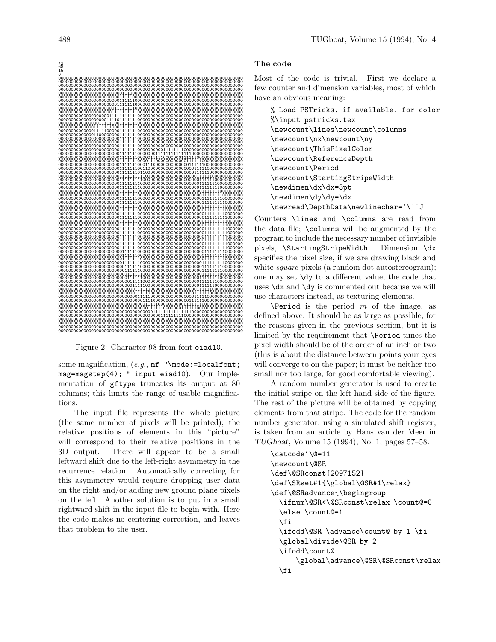

Figure 2: Character 98 from font eiad10.

some magnification,  $(e.g., \text{mf "}\text{node}{:=location};$ mag=magstep(4); " input eiad10). Our implementation of gftype truncates its output at 80 columns; this limits the range of usable magnifications.

The input file represents the whole picture (the same number of pixels will be printed); the relative positions of elements in this "picture" will correspond to their relative positions in the 3D output. There will appear to be a small leftward shift due to the left-right asymmetry in the recurrence relation. Automatically correcting for this asymmetry would require dropping user data on the right and/or adding new ground plane pixels on the left. Another solution is to put in a small rightward shift in the input file to begin with. Here the code makes no centering correction, and leaves that problem to the user.

## **The code**

Most of the code is trivial. First we declare a few counter and dimension variables, most of which have an obvious meaning:

```
% Load PSTricks, if available, for color
%\input pstricks.tex
\newcount\lines\newcount\columns
\newcount\nx\newcount\ny
\newcount\ThisPixelColor
\newcount\ReferenceDepth
\newcount\Period
\newcount\StartingStripeWidth
\newdimen\dx\dx=3pt
\newdimen\dy\dy=\dx
\newread\DepthData\newlinechar='\^^J
```
Counters \lines and \columns are read from the data file; \columns will be augmented by the program to include the necessary number of invisible pixels, \StartingStripeWidth. Dimension \dx specifies the pixel size, if we are drawing black and white *square* pixels (a random dot autostereogram); one may set \dy to a different value; the code that uses  $\dx$  and  $\dy$  is commented out because we will use characters instead, as texturing elements.

 $\Peri$ od is the period m of the image, as defined above. It should be as large as possible, for the reasons given in the previous section, but it is limited by the requirement that \Period times the pixel width should be of the order of an inch or two (this is about the distance between points your eyes will converge to on the paper; it must be neither too small nor too large, for good comfortable viewing).

A random number generator is used to create the initial stripe on the left hand side of the figure. The rest of the picture will be obtained by copying elements from that stripe. The code for the random number generator, using a simulated shift register, is taken from an article by Hans van der Meer in *TUGboat*, Volume 15 (1994), No. 1, pages 57–58.

```
\catcode'\@=11
\newcount\@SR
\def\@SRconst{2097152}
\def\SRset#1{\global\@SR#1\relax}
\def\@SRadvance{\begingroup
  \ifnum\@SR<\@SRconst\relax \count@=0
  \else \count@=1
  \fi
  \ifodd\@SR \advance\count@ by 1 \fi
  \global\divide\@SR by 2
  \ifodd\count@
      \global\advance\@SR\@SRconst\relax
  \fi
```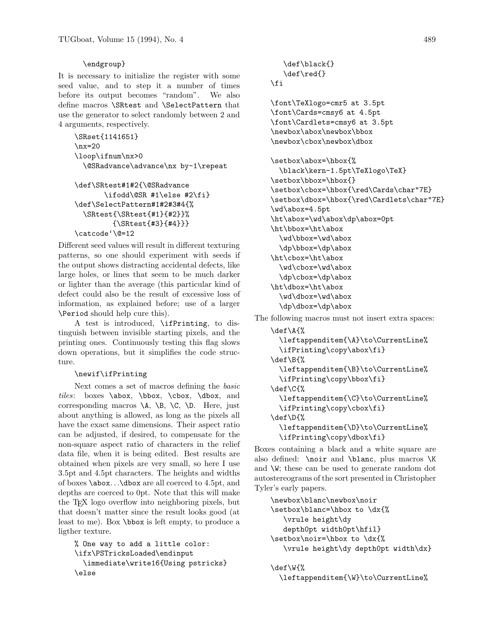# \endgroup}

It is necessary to initialize the register with some seed value, and to step it a number of times before its output becomes "random". We also define macros \SRtest and \SelectPattern that use the generator to select randomly between 2 and 4 arguments, respectively.

```
\SRset{1141651}
\n\overline{\text{nx}}=20\loop\ifnum\nx>0
  \@SRadvance\advance\nx by-1\repeat
```

```
\def\SRtest#1#2{\@SRadvance
       \ifodd\@SR #1\else #2\fi}
\def\SelectPattern#1#2#3#4{%
  \SRtest{\SRtest{#1}{#2}}%
         {\SRtest{#3}{#4}}}
\catcode'\@=12
```
Different seed values will result in different texturing patterns, so one should experiment with seeds if the output shows distracting accidental defects, like large holes, or lines that seem to be much darker or lighter than the average (this particular kind of defect could also be the result of excessive loss of information, as explained before; use of a larger \Period should help cure this).

A test is introduced, \ifPrinting, to distinguish between invisible starting pixels, and the printing ones. Continuously testing this flag slows down operations, but it simplifies the code structure.

## \newif\ifPrinting

Next comes a set of macros defining the basic tiles: boxes \abox, \bbox, \cbox, \dbox, and corresponding macros  $\A$ ,  $\B$ ,  $\C$ ,  $\D$ . Here, just about anything is allowed, as long as the pixels all have the exact same dimensions. Their aspect ratio can be adjusted, if desired, to compensate for the non-square aspect ratio of characters in the relief data file, when it is being edited. Best results are obtained when pixels are very small, so here I use 3.5pt and 4.5pt characters. The heights and widths of boxes \abox...\dbox are all coerced to 4.5pt, and depths are coerced to 0pt. Note that this will make the TEX logo overflow into neighboring pixels, but that doesn't matter since the result looks good (at least to me). Box \bbox is left empty, to produce a ligther texture.

```
% One way to add a little color:
\ifx\PSTricksLoaded\endinput
  \immediate\write16{Using pstricks}
\else
```

```
\def\black{}
   \def\red{}
\fi
```

```
\font\TeXlogo=cmr5 at 3.5pt
\font\Cards=cmsy6 at 4.5pt
\font\Cardlets=cmsy6 at 3.5pt
\newbox\abox\newbox\bbox
\newbox\cbox\newbox\dbox
```

```
\setbox\abox=\hbox{%
  \black\kern-1.5pt\TeXlogo\TeX}
\setbox\bbox=\hbox{}
\setbox\cbox=\hbox{\red\Cards\char"7E}
\setbox\dbox=\hbox{\red\Cardlets\char"7E}
\wd\abox=4.5pt
\ht\abox=\wd\abox\dp\abox=0pt
\ht\bbox=\ht\abox
  \wd\bbox=\wd\abox
  \dp\bbox=\dp\abox
\ht\cbox=\ht\abox
  \wd\cbox=\wd\abox
  \dp\cbox=\dp\abox
\ht\dbox=\ht\abox
  \wd\dbox=\wd\abox
  \dp\dbox=\dp\abox
```
The following macros must not insert extra spaces:

```
\def\A{%
  \leftappenditem{\A}\to\CurrentLine%
  \ifPrinting\copy\abox\fi}
\def\B{%
  \leftappenditem{\B}\to\CurrentLine%
  \ifPrinting\copy\bbox\fi}
\def\C{%
  \leftappenditem{\C}\to\CurrentLine%
  \ifPrinting\copy\cbox\fi}
\def\D{%
  \leftappenditem{\D}\to\CurrentLine%
  \ifPrinting\copy\dbox\fi}
```
Boxes containing a black and a white square are also defined: \noir and \blanc, plus macros \K and \W; these can be used to generate random dot autostereograms of the sort presented in Christopher Tyler's early papers.

```
\newbox\blanc\newbox\noir
\setbox\blanc=\hbox to \dx{%
  \vrule height\dy
  depth0pt width0pt\hfil}
\setbox\noir=\hbox to \dx{%
  \vrule height\dy depth0pt width\dx}
```

```
\def\W{%
  \leftappenditem{\W}\to\CurrentLine%
```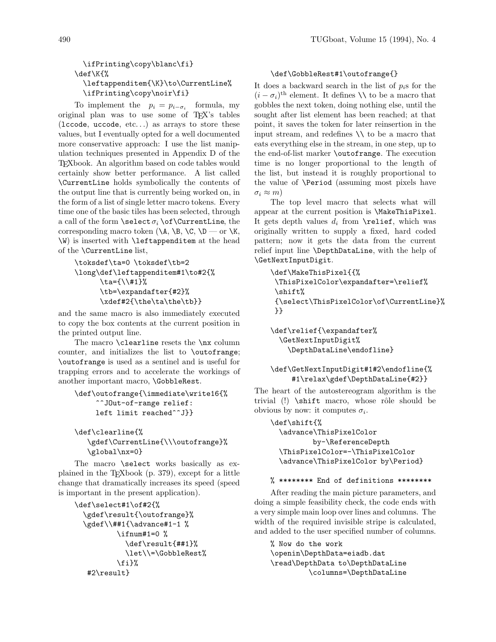# \ifPrinting\copy\blanc\fi} \def\K{% \leftappenditem{\K}\to\CurrentLine% \ifPrinting\copy\noir\fi}

To implement the  $p_i = p_{i-\sigma_i}$  formula, my original plan was to use some of TEX's tables (lccode, uccode, etc...) as arrays to store these values, but I eventually opted for a well documented more conservative approach: I use the list manipulation techniques presented in Appendix D of the TEXbook. An algorithm based on code tables would certainly show better performance. A list called \CurrentLine holds symbolically the contents of the output line that is currently being worked on, in the form of a list of single letter macro tokens. Every time one of the basic tiles has been selected, through a call of the form  $\setminus \set{\sigma_i \of}$  CurrentLine, the corresponding macro token  $(\A, \B, \C, \D - \text{or } K,$ \W) is inserted with \leftappenditem at the head of the \CurrentLine list,

```
\toksdef\ta=0 \toksdef\tb=2
\long\def\leftappenditem#1\to#2{%
      \ta={\\#1}%
      \tb=\expandafter{#2}%
      \xdef#2{\the\ta\the\tb}}
```
and the same macro is also immediately executed to copy the box contents at the current position in the printed output line.

The macro \clearline resets the \nx column counter, and initializes the list to \outofrange; \outofrange is used as a sentinel and is useful for trapping errors and to accelerate the workings of another important macro, \GobbleRest.

```
\def\outofrange{\immediate\write16{%
     ^^JOut-of-range relief:
     left limit reached^^J}}
```

```
\def\clearline{%
   \gdef\CurrentLine{\\\outofrange}%
   \global\nx=0}
```
The macro \select works basically as explained in the TEXbook (p. 379), except for a little change that dramatically increases its speed (speed is important in the present application).

```
\def\select#1\of#2{%
  \gdef\result{\outofrange}%
  \gdef\\##1{\advance#1-1 %
          \ifnum#1=0 %
            \def\result{##1}%
            \let\\=\GobbleRest%
          \{f_i\}%
   #2\result}
```
#### \def\GobbleRest#1\outofrange{}

It does a backward search in the list of  $p_i$ s for the  $(i - \sigma_i)^{\text{th}}$  element. It defines  $\setminus \setminus$  to be a macro that gobbles the next token, doing nothing else, until the sought after list element has been reached; at that point, it saves the token for later reinsertion in the input stream, and redefines \\ to be a macro that eats everything else in the stream, in one step, up to the end-of-list marker \outofrange. The execution time is no longer proportional to the length of the list, but instead it is roughly proportional to the value of \Period (assuming most pixels have  $\sigma_i \approx m$ )

The top level macro that selects what will appear at the current position is \MakeThisPixel. It gets depth values  $d_i$  from  $\relaxright$ , which was originally written to supply a fixed, hard coded pattern; now it gets the data from the current relief input line \DepthDataLine, with the help of \GetNextInputDigit.

```
\def\MakeThisPixel{{%
 \ThisPixelColor\expandafter=\relief%
\shift%
{\select\ThisPixelColor\of\CurrentLine}%
}}
```

```
\def\relief{\expandafter%
  \GetNextInputDigit%
    \DepthDataLine\endofline}
```
# \def\GetNextInputDigit#1#2\endofline{% #1\relax\gdef\DepthDataLine{#2}}

The heart of the autostereogram algorithm is the trivial  $(!)$   $\shift$  macro, whose rôle should be obvious by now: it computes  $\sigma_i$ .

```
\def\shift{%
  \advance\ThisPixelColor
          by-\ReferenceDepth
  \ThisPixelColor=-\ThisPixelColor
  \advance\ThisPixelColor by\Period}
```

```
% ******** End of definitions ********
```
After reading the main picture parameters, and doing a simple feasibility check, the code ends with a very simple main loop over lines and columns. The width of the required invisible stripe is calculated, and added to the user specified number of columns.

```
% Now do the work
\openin\DepthData=eiadb.dat
\read\DepthData to\DepthDataLine
         \columns=\DepthDataLine
```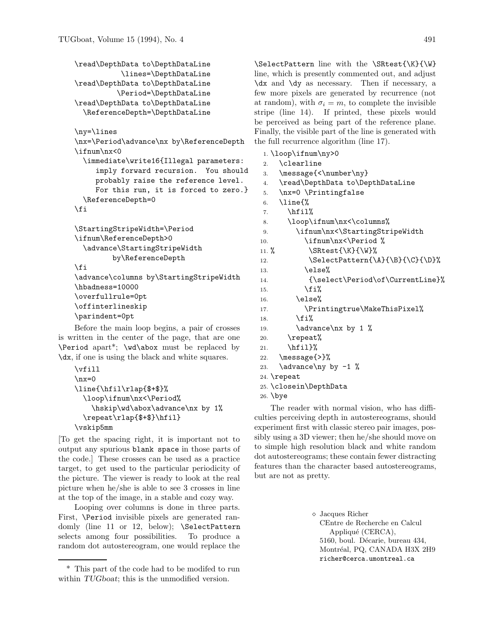```
\read\DepthData to\DepthDataLine
           \lines=\DepthDataLine
\read\DepthData to\DepthDataLine
          \Period=\DepthDataLine
\read\DepthData to\DepthDataLine
  \ReferenceDepth=\DepthDataLine
```

```
\ny=\lines
```

```
\nx=\Period\advance\nx by\ReferenceDepth
\ifnum\nx<0
  \immediate\write16{Illegal parameters:
     imply forward recursion. You should
    probably raise the reference level.
    For this run, it is forced to zero.}
  \ReferenceDepth=0
\fi
```

```
\StartingStripeWidth=\Period
\ifnum\ReferenceDepth>0
  \advance\StartingStripeWidth
        by\ReferenceDepth
```

```
\fi
```

```
\advance\columns by\StartingStripeWidth
\hbadness=10000
\overfullrule=0pt
\offinterlineskip
\parindent=0pt
```
Before the main loop begins, a pair of crosses is written in the center of the page, that are one \Period apart\*; \wd\abox must be replaced by \dx, if one is using the black and white squares.

```
\vfill
\n\overline{\n\}\line{\hfil\rlap{$+$}%
  \loop\ifnum\nx<\Period%
    \hskip\wd\abox\advance\nx by 1%
  \repeat\rlap{$+$}\hfil}
\vskip5mm
```
[To get the spacing right, it is important not to output any spurious blank space in those parts of the code.] These crosses can be used as a practice target, to get used to the particular periodicity of the picture. The viewer is ready to look at the real picture when he/she is able to see 3 crosses in line at the top of the image, in a stable and cozy way.

Looping over columns is done in three parts. First, \Period invisible pixels are generated randomly (line 11 or 12, below); \SelectPattern selects among four possibilities. To produce a random dot autostereogram, one would replace the

\SelectPattern line with the \SRtest{\K}{\W} line, which is presently commented out, and adjust \dx and \dy as necessary. Then if necessary, a few more pixels are generated by recurrence (not at random), with  $\sigma_i = m$ , to complete the invisible stripe (line 14). If printed, these pixels would be perceived as being part of the reference plane. Finally, the visible part of the line is generated with the full recurrence algorithm (line 17).

```
1. \loop\ifnum\ny>0
2. \clearline
3. \message{<\number\ny}
4. \read\DepthData to\DepthDataLine
5. \nx=0 \Printingfalse
6. \{\%7. \quad \text{hfill\%}8. \loop\ifnum\nx<\columns%
9. \ifnum\nx<\StartingStripeWidth
10. \ifnum\nx<\Period %
11. \{N\} \SRtest{\K}{\W}%
12. \SelectPattern{\A}{\B}{\C}{\D}\%13. \text{lelse}14. {\select\Period\of\CurrentLine}%
15. \{f_i\}16. \else%
17. \Printingtrue\MakeThisPixel%
18. \mathbf{18}19. \ddot{\text{a}} \text{b} \ddot{\text{b}} 1 %
20. \repeat%
21. \hfil}%
22. \message{>}%
23. \advance\ny by -1 %
24. \repeat
25. \closein\DepthData
```

```
26. \bye
```
The reader with normal vision, who has difficulties perceiving depth in autostereograms, should experiment first with classic stereo pair images, possibly using a 3D viewer; then he/she should move on to simple high resolution black and white random dot autostereograms; these contain fewer distracting features than the character based autostereograms, but are not as pretty.

> Jacques Richer CEntre de Recherche en Calcul Appliqué (CERCA), 5160, boul. Décarie, bureau 434, Montréal, PQ, CANADA H3X 2H9 richer@cerca.umontreal.ca

<sup>\*</sup> This part of the code had to be modifed to run within *TUGboat*; this is the unmodified version.